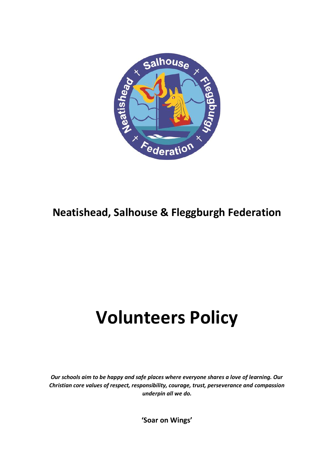

## **Neatishead, Salhouse & Fleggburgh Federation**

# **Volunteers Policy**

*Our schools aim to be happy and safe places where everyone shares a love of learning. Our Christian core values of respect, responsibility, courage, trust, perseverance and compassion underpin all we do.*

**'Soar on Wings'**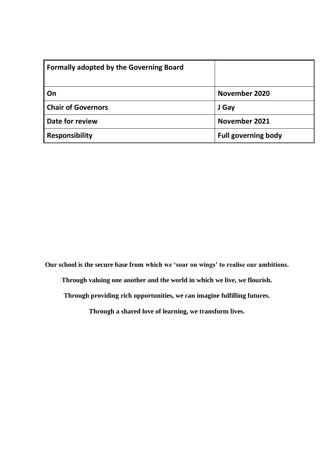| <b>Formally adopted by the Governing Board</b> |                            |
|------------------------------------------------|----------------------------|
| On                                             | November 2020              |
| <b>Chair of Governors</b>                      | J Gay                      |
| Date for review                                | November 2021              |
| <b>Responsibility</b>                          | <b>Full governing body</b> |

**Our school is the secure base from which we 'soar on wings' to realise our ambitions.**

**Through valuing one another and the world in which we live, we flourish.**

**Through providing rich opportunities, we can imagine fulfilling futures.**

**Through a shared love of learning, we transform lives.**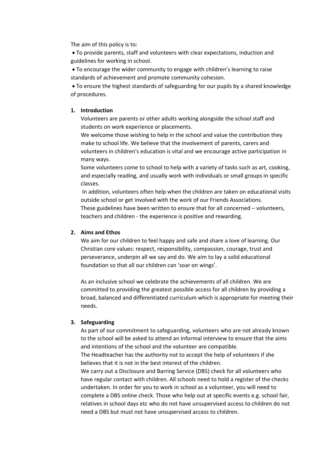The aim of this policy is to:

• To provide parents, staff and volunteers with clear expectations, induction and guidelines for working in school.

• To encourage the wider community to engage with children's learning to raise standards of achievement and promote community cohesion.

• To ensure the highest standards of safeguarding for our pupils by a shared knowledge of procedures.

#### **1. Introduction**

Volunteers are parents or other adults working alongside the school staff and students on work experience or placements.

We welcome those wishing to help in the school and value the contribution they make to school life. We believe that the involvement of parents, carers and volunteers in children's education is vital and we encourage active participation in many ways.

Some volunteers come to school to help with a variety of tasks such as art, cooking, and especially reading, and usually work with individuals or small groups in specific classes.

In addition, volunteers often help when the children are taken on educational visits outside school or get involved with the work of our Friends Associations. These guidelines have been written to ensure that for all concerned – volunteers, teachers and children - the experience is positive and rewarding.

#### **2. Aims and Ethos**

We aim for our children to feel happy and safe and share a love of learning. Our Christian core values: respect, responsibility, compassion, courage, trust and perseverance, underpin all we say and do. We aim to lay a solid educational foundation so that all our children can 'soar on wings'.

As an inclusive school we celebrate the achievements of all children. We are committed to providing the greatest possible access for all children by providing a broad, balanced and differentiated curriculum which is appropriate for meeting their needs.

#### **3. Safeguarding**

As part of our commitment to safeguarding, volunteers who are not already known to the school will be asked to attend an informal interview to ensure that the aims and intentions of the school and the volunteer are compatible.

The Headteacher has the authority not to accept the help of volunteers if she believes that it is not in the best interest of the children.

We carry out a Disclosure and Barring Service (DBS) check for all volunteers who have regular contact with children. All schools need to hold a register of the checks undertaken. In order for you to work in school as a volunteer, you will need to complete a DBS online check. Those who help out at specific events e.g. school fair, relatives in school days etc who do not have unsupervised access to children do not need a DBS but must not have unsupervised access to children.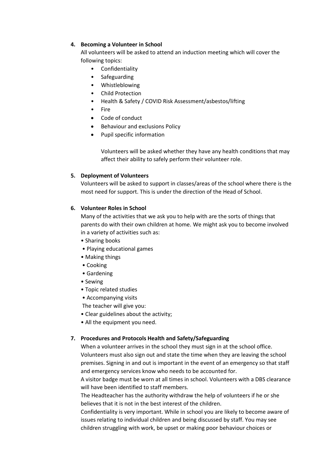#### **4. Becoming a Volunteer in School**

All volunteers will be asked to attend an induction meeting which will cover the following topics:

- Confidentiality
- Safeguarding
- Whistleblowing
- Child Protection
- Health & Safety / COVID Risk Assessment/asbestos/lifting
- Fire
- Code of conduct
- Behaviour and exclusions Policy
- Pupil specific information

Volunteers will be asked whether they have any health conditions that may affect their ability to safely perform their volunteer role.

#### **5. Deployment of Volunteers**

Volunteers will be asked to support in classes/areas of the school where there is the most need for support. This is under the direction of the Head of School.

#### **6. Volunteer Roles in School**

Many of the activities that we ask you to help with are the sorts of things that parents do with their own children at home. We might ask you to become involved in a variety of activities such as:

- Sharing books
- Playing educational games
- Making things
- Cooking
- Gardening
- Sewing
- Topic related studies
- Accompanying visits
- The teacher will give you:
- Clear guidelines about the activity;
- All the equipment you need.

### **7. Procedures and Protocols Health and Safety/Safeguarding**

When a volunteer arrives in the school they must sign in at the school office. Volunteers must also sign out and state the time when they are leaving the school premises. Signing in and out is important in the event of an emergency so that staff and emergency services know who needs to be accounted for.

A visitor badge must be worn at all times in school. Volunteers with a DBS clearance will have been identified to staff members.

The Headteacher has the authority withdraw the help of volunteers if he or she believes that it is not in the best interest of the children.

Confidentiality is very important. While in school you are likely to become aware of issues relating to individual children and being discussed by staff. You may see children struggling with work, be upset or making poor behaviour choices or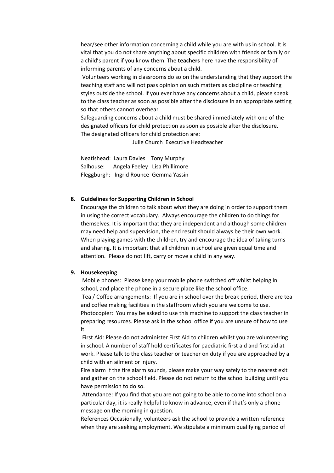hear/see other information concerning a child while you are with us in school. It is vital that you do not share anything about specific children with friends or family or a child's parent if you know them. The **teachers** here have the responsibility of informing parents of any concerns about a child.

Volunteers working in classrooms do so on the understanding that they support the teaching staff and will not pass opinion on such matters as discipline or teaching styles outside the school. If you ever have any concerns about a child, please speak to the class teacher as soon as possible after the disclosure in an appropriate setting so that others cannot overhear.

Safeguarding concerns about a child must be shared immediately with one of the designated officers for child protection as soon as possible after the disclosure. The designated officers for child protection are:

Julie Church Executive Headteacher

Neatishead: Laura Davies Tony Murphy Salhouse: Angela Feeley Lisa Phillimore Fleggburgh: Ingrid Rounce Gemma Yassin

#### **8. Guidelines for Supporting Children in School**

Encourage the children to talk about what they are doing in order to support them in using the correct vocabulary. Always encourage the children to do things for themselves. It is important that they are independent and although some children may need help and supervision, the end result should always be their own work. When playing games with the children, try and encourage the idea of taking turns and sharing. It is important that all children in school are given equal time and attention. Please do not lift, carry or move a child in any way.

#### **9. Housekeeping**

Mobile phones: Please keep your mobile phone switched off whilst helping in school, and place the phone in a secure place like the school office. Tea / Coffee arrangements: If you are in school over the break period, there are tea and coffee making facilities in the staffroom which you are welcome to use. Photocopier: You may be asked to use this machine to support the class teacher in preparing resources. Please ask in the school office if you are unsure of how to use

it.

First Aid: Please do not administer First Aid to children whilst you are volunteering in school. A number of staff hold certificates for paediatric first aid and first aid at work. Please talk to the class teacher or teacher on duty if you are approached by a child with an ailment or injury.

Fire alarm If the fire alarm sounds, please make your way safely to the nearest exit and gather on the school field. Please do not return to the school building until you have permission to do so.

Attendance: If you find that you are not going to be able to come into school on a particular day, it is really helpful to know in advance, even if that's only a phone message on the morning in question.

References Occasionally, volunteers ask the school to provide a written reference when they are seeking employment. We stipulate a minimum qualifying period of